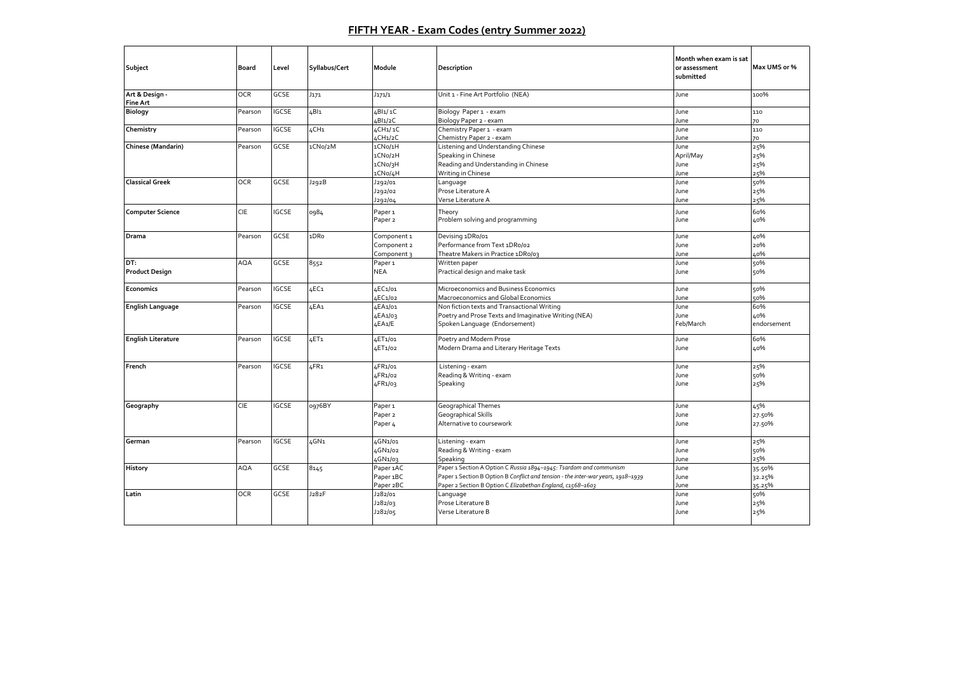## **FIFTH YEAR - Exam Codes (entry Summer 2022)**

| Subject                           | Board      | Level        | Syllabus/Cert    | Module                            | Description                                                                      | Month when exam is sat<br>or assessment<br>submitted | Max UMS or % |
|-----------------------------------|------------|--------------|------------------|-----------------------------------|----------------------------------------------------------------------------------|------------------------------------------------------|--------------|
| Art & Design -<br><b>Fine Art</b> | <b>OCR</b> | GCSE         | J171             | J171/1                            | Unit 1 - Fine Art Portfolio (NEA)                                                | June                                                 | 100%         |
| <b>Biology</b>                    | Pearson    | IGCSE        | 4BI1             | 4BI1/1C                           | Biology Paper 1 - exam                                                           | June                                                 | 110          |
|                                   |            |              |                  | 4BI1/2C                           | Biology Paper 2 - exam                                                           | June                                                 | 70           |
| Chemistry                         | Pearson    | <b>IGCSE</b> | 4CH <sub>1</sub> | 4CH1/1C                           | Chemistry Paper 1 - exam                                                         | June                                                 | 110          |
|                                   |            |              |                  | 4CH <sub>1</sub> / <sub>2</sub> C | Chemistry Paper 2 - exam                                                         | June                                                 | 70           |
| Chinese (Mandarin)                | Pearson    | GCSE         | 1CNo/2M          | 1CNo/1H                           | Listening and Understanding Chinese                                              | June                                                 | 25%          |
|                                   |            |              |                  | 1CNo/2H                           | Speaking in Chinese                                                              | April/May                                            | 25%          |
|                                   |            |              |                  | 1CNo/3H                           | Reading and Understanding in Chinese                                             | June                                                 | 25%<br>25%   |
| <b>Classical Greek</b>            | <b>OCR</b> | GCSE         | J292B            | 1CNo/4H<br>J292/01                | Writing in Chinese<br>Language                                                   | June<br>June                                         | 50%          |
|                                   |            |              |                  |                                   | Prose Literature A                                                               | June                                                 | 25%          |
|                                   |            |              |                  | J292/02<br>J292/04                | Verse Literature A                                                               | June                                                 | 25%          |
|                                   |            |              |                  |                                   |                                                                                  |                                                      |              |
| <b>Computer Science</b>           | CIE        | IGCSE        | 0984             | Paper <sub>1</sub>                | Theory                                                                           | June                                                 | 60%          |
|                                   |            |              |                  | Paper <sub>2</sub>                | Problem solving and programming                                                  | June                                                 | 40%          |
| Drama                             | Pearson    | <b>GCSE</b>  | 1DRo             | Component 1                       | Devising 1DRo/01                                                                 | June                                                 | 40%          |
|                                   |            |              |                  | Component 2                       | Performance from Text 1DRo/02                                                    | June                                                 | 20%          |
|                                   |            |              |                  | Component 3                       | Theatre Makers in Practice 1DRo/03                                               | June                                                 | 40%          |
| DT:                               | <b>AQA</b> | GCSE         | 8552             | Paper <sub>1</sub>                | Written paper                                                                    | June                                                 | 50%          |
| <b>Product Design</b>             |            |              |                  | NEA                               | Practical design and make task                                                   | June                                                 | 50%          |
| Economics                         | Pearson    | IGCSE        | £C <sub>1</sub>  | 4EC1/01                           | Microeconomics and Business Economics                                            | June                                                 | 50%          |
|                                   |            |              |                  | 4EC1/02                           | Macroeconomics and Global Economics                                              | June                                                 | 50%          |
| <b>English Language</b>           | Pearson    | <b>IGCSE</b> | 4EA1             | 4EA1/01                           | Non fiction texts and Transactional Writing                                      | June                                                 | 60%          |
|                                   |            |              |                  | 4EA1/03                           | Poetry and Prose Texts and Imaginative Writing (NEA)                             | June                                                 | 40%          |
|                                   |            |              |                  | 4EA1/E                            | Spoken Language (Endorsement)                                                    | Feb/March                                            | endorsement  |
| <b>English Literature</b>         | Pearson    | <b>IGCSE</b> | £T <sub>1</sub>  | 4ET1/01                           | Poetry and Modern Prose                                                          | June                                                 | 60%          |
|                                   |            |              |                  | 4ET1/02                           | Modern Drama and Literary Heritage Texts                                         | June                                                 | 40%          |
|                                   |            |              |                  |                                   |                                                                                  |                                                      |              |
| French                            | Pearson    | IGCSE        | LFR <sub>1</sub> | 4FR1/01                           | Listening - exam                                                                 | June                                                 | 25%          |
|                                   |            |              |                  | 4FR1/02                           | Reading & Writing - exam                                                         | June                                                 | 50%          |
|                                   |            |              |                  | 4FR1/03                           | Speaking                                                                         | June                                                 | 25%          |
|                                   |            |              |                  |                                   |                                                                                  |                                                      |              |
| Geography                         | <b>CIE</b> | IGCSE        | 0976BY           | Paper <sub>1</sub>                | <b>Geographical Themes</b>                                                       | June                                                 | 45%          |
|                                   |            |              |                  | Paper <sub>2</sub>                | <b>Geographical Skills</b>                                                       | June                                                 | 27.50%       |
|                                   |            |              |                  | Paper <sub>4</sub>                | Alternative to coursework                                                        | June                                                 | 27.50%       |
|                                   |            |              |                  |                                   |                                                                                  |                                                      |              |
| German                            | Pearson    | IGCSE        | 4GN1             | 4GN1/01                           | Listening - exam                                                                 | June                                                 | 25%          |
|                                   |            |              |                  | 4GN1/02                           | Reading & Writing - exam                                                         | June                                                 | 50%          |
|                                   |            |              |                  | 4GN1/03                           | Speaking                                                                         | June                                                 | 25%          |
| History                           | AQA        | GCSE         | 8145             | Paper 1AC                         | Paper 1 Section A Option C Russia 1894-1945: Tsardom and communism               | June                                                 | 35.50%       |
|                                   |            |              |                  | Paper 1BC                         | Paper 1 Section B Option B Conflict and tension - the inter-war years, 1918-1939 | June                                                 | 32.25%       |
|                                   |            |              |                  | Paper 2BC                         | Paper 2 Section B Option C Elizabethan England, c1568-1603                       | June                                                 | 35.25%       |
| Latin                             | <b>OCR</b> | GCSE         | J282F            | J282/01                           | Language                                                                         | June                                                 | 50%          |
|                                   |            |              |                  | J282/03                           | Prose Literature B                                                               | June                                                 | 25%          |
|                                   |            |              |                  | J282/05                           | Verse Literature B                                                               | June                                                 | 25%          |